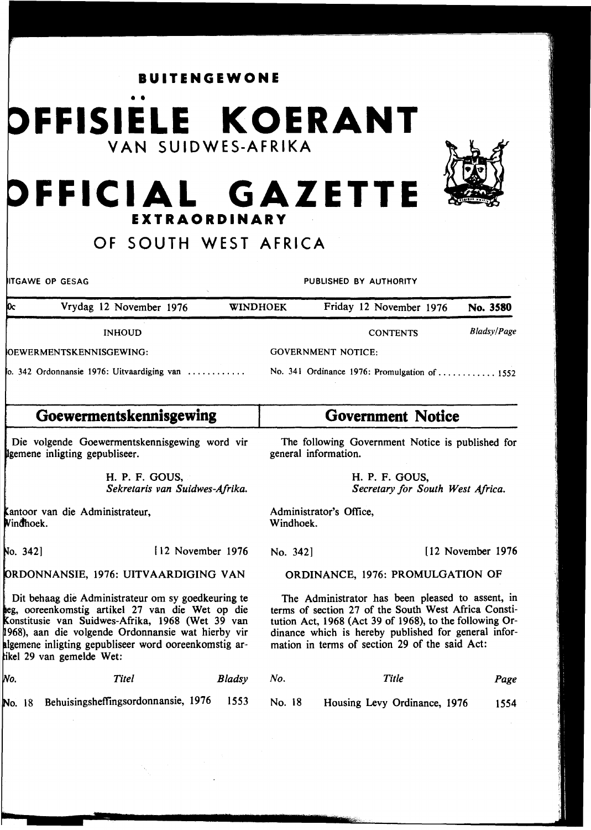**BUITENGEWONE** 

# • • **FFISIELE KOERANT VAN SUIDWES-AFRIKA**



## **FFICIAL GAZETTE EXTRAORDINARY**

### **OF SOUTH WEST AFRICA**

**ITGAWE OP GESAG PUBLISHED BY AUTHORITY** 

| $\alpha$                                           | Vrydag 12 November 1976  | <b>WINDHOEK</b> | Friday 12 November 1976                       | No. 3580           |
|----------------------------------------------------|--------------------------|-----------------|-----------------------------------------------|--------------------|
|                                                    | <b>INHOUD</b>            |                 | <b>CONTENTS</b>                               | <b>Bladsy/Page</b> |
|                                                    | JOEWERMENTSKENNISGEWING: |                 | <b>GOVERNMENT NOTICE:</b>                     |                    |
| $\alpha$ . 342 Ordonnansie 1976: Uitvaardiging van |                          |                 | No. 341 Ordinance 1976: Promulgation of  1552 |                    |

#### **Goewermentskennisgewing Government Notice**

Die volgende Goewermentskennisgewing word vir Igemene inligting gepubliseer.

> H. P. F. GOUS, *Sekretaris van Suidwes-Afrika.*

Kantoor van die Administrateur,<br>Windhoek.

No. 3421

I 12 November 1976

1976: UITVAARDIGING VAN

Dit behaag die Administrateur om sy goedkeuring te ooreenkomstig artikel 27 van die Wet op die Konstitusie van Suidwes-Afrika, 1968 (Wet 39 van 968), aan die volgende Ordonnansie wat hierby vir algemene inligting gepubliseer word ooreenkomstig ar-29 van gemelde Wet:

lNo. *Titel Bladsy* 

No. 18 Behuisingsheffingsordonnansie, 1976 1553

The following Government Notice is published for general information.

> H. P. F. GOUS, *Secretary for South West Africa.*

Administrator's Office, Windhoek.

No. 342] [ 12 November 1976]

ORDINANCE, 1976: PROMULGATION OF

The Administrator has been pleased to assent, in terms of section 27 of the South West Africa Constitution Act, 1968 (Act 39 of 1968), to the following Ordinance which is hereby published for general information in terms of section 29 of the said Act:

| No. | Title | Page |
|-----|-------|------|
|     |       |      |

No. 18 Housing Levy Ordinance, 1976 1554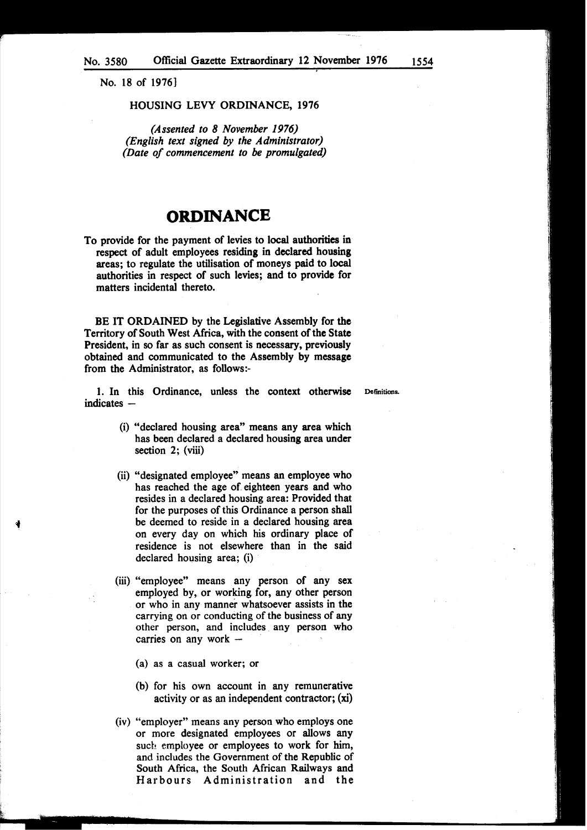No. 18 of 1976]

#### HOUSING LEVY ORDINANCE, 1976

*(Assented to 8 November 1976) (English text signed by the Administrator) (Date of commencement to be promulgated)* 

#### **ORDINANCE**

To provide for the payment of levies to local authorities in respect of adult employees residing in declared housing areas; to regulate the utilisation of moneys paid to local authorities in respect of such levies; and to provide for matters incidental thereto.

BE IT ORDAINED by the Legislative Assembly for the Territory of South West Africa, with the consent of the State President, in so far as such consent is necessary, previously obtained and communicated to the Assembly by message from the Administrator, as follows:-

1. In this Ordinance, unless the context otherwise Defmitions.  $indicates -$ 

- (i) "declared housing area" means any area which has been declared a declared housing area under section 2; (viii)
- (ii) "designated employee" means an employee who has reached the age of eighteen years and who resides in a declared housing area: Provided that for the purposes of this Ordinance a person shall be deemed to reside in a declared housing area on every day on which his ordinary place of residence is not elsewhere than in the said declared housing area; (i)
- (iii) "employee" means any person of any sex employed by, or working for, any other person or who in any manner whatsoever assists in the carrying on or conducting of the business of any other person, and includes any person who carries on any work  $-$ 
	- (a) as a casual worker; or
	- (b) for his own account in any remunerative activity or as an independent contractor; (xi)
- (iv) "employer" means any person who employs one or more designated employees or allows any such employee or employees to work for him, and includes the Government of the Republic of South Africa, the South African Railways and Harbours Administration and the

1554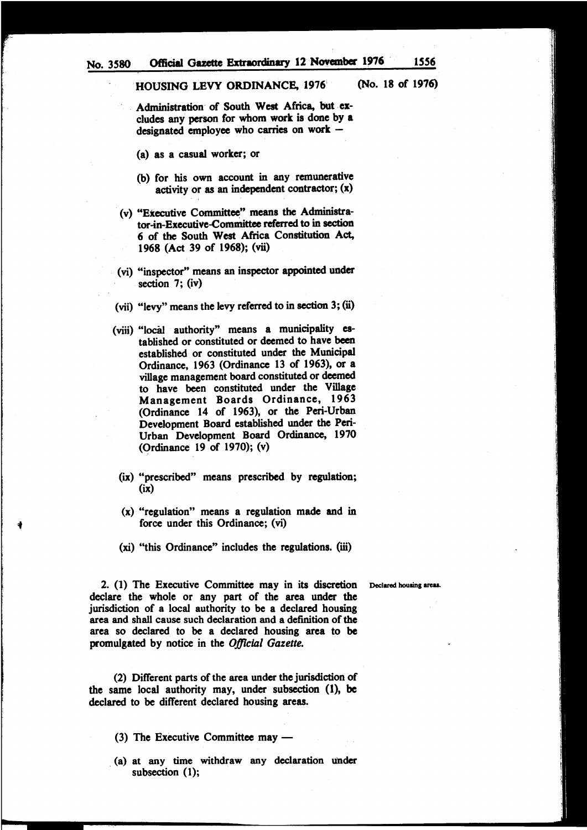Administration of South West Africa, but excludes any person for whom work is done by a designated employee who carries on work  $-$ 

(a) as a casual worker; or

- (b) for his own account in any remunerative activity or as an independent contractor;  $(x)$
- (v) "Executive Committee" means the Administrator-in-Executive-Committee referred to in section 6 of the South West Africa Constitution Act, 1968 (Act 39 of 1968); (vii)
- (vi) "inspector" means an inspector appointed under section 7; (iv)
- (vii) "levy" means the levy referred to in section 3; (ii)
- (viii) "locaJ authority" means a municipality established or constituted or deemed to have been established or constituted under the Municipal Ordinance, 1963 (Ordinance 13 of 1963), or a village management board constituted or deemed to have been constituted under the Village Management Boards Ordinance, 1963 (Ordinance 14 of 1963), or the Peri-Urban Development Board established under the Peri-Urban Development Board Ordinance, 1970 (Ordinance 19 of 1970); (v)
	- (ix) "prescribed" means prescribed by regulation; (ix)
	- (x) "regulation" means a regulation made and in force under this Ordinance; (vi)
	- (xi) "this Ordinance" includes the regulations. (iii)

•

2. (1) The Executive Committee may in its discretion Declared housing areas. declare the whole or any part of the area under the jurisdiction of a local authority to be a declared housing area and shall cause such declaration and a definition of the area so declared to be a declared housing area to be promulgated by notice in the *OjJlcial Gazette.* 

(2) Different parts of the area under the jurisdiction of the same local authority may, under subsection (1), be declared to be different declared housing areas.

- $(3)$  The Executive Committee may  $-$
- . (a) at any time withdraw any declaration under subsection (1);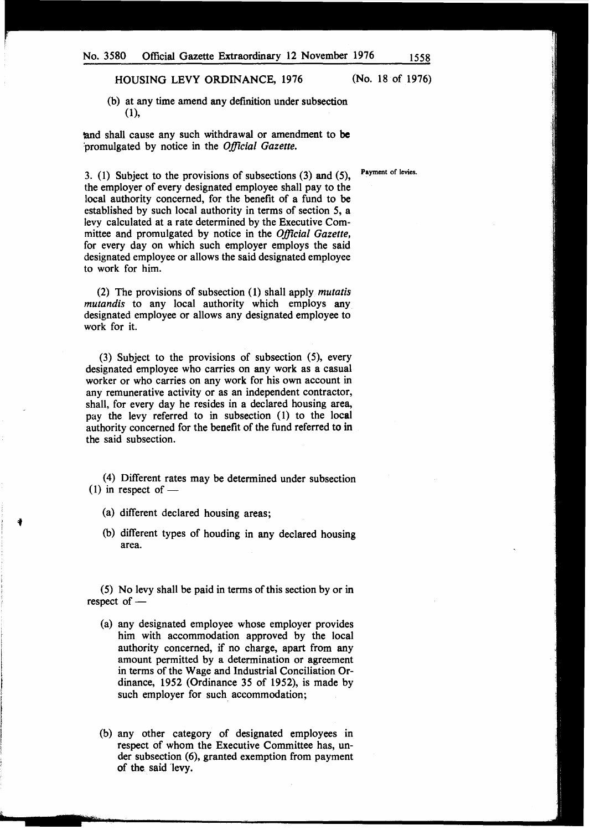HOUSING LEVY ORDINANCE, 1976 (No. 18 of 1976)

(b) at any time amend any definition under subsection (1),

and shall cause any such withdrawal or amendment to be :promulgated by notice in the *Official Gazette.* 

3. (1) Subject to the provisions of subsections (3) and (5), the employer of every designated employee shall pay to the local authority concerned, for the benefit of a fund to be established by such local authority in terms of section 5, a levy calculated at a rate determined by the Executive Committee and promulgated by notice in the *Official Gazette,*  for every day on which such employer employs the said designated employee or allows the said designated employee to work for him.

(2) The provisions of subsection (1) shall apply *mutatis mutandis* to any local authority which employs any designated employee or allows any designated employee to work for it.

(3) Subject to the provisions of subsection (5), every designated employee who carries on any work as a casual worker or who carries on any work for his own account in any remunerative activity or as an independent contractor, shall, for every day he resides in a declared housing area, pay the levy referred to in subsection (1) to the local authority concerned for the benefit of the fund referred to in the said subsection.

(4) Different rates may be determined under subsection  $(1)$  in respect of -

(a) different declared housing areas;

(b) different types of houding in any declared housing area.

(5) No levy shall be paid in terms of this section by or in respect of  $-$ 

- (a) any designated employee whose employer provides him with accommodation approved by the local authority concerned, if no charge, apart from any amount permitted by a determination or agreement in terms of the Wage and Industrial Conciliation Ordinance, 1952 (Ordinance 35 of 1952), is made by such employer for such accommodation;
- (b) any other category of designated employees in respect of whom the Executive Committee has, under subsection (6), granted exemption from payment of the. said 'levy.

Payment of levies.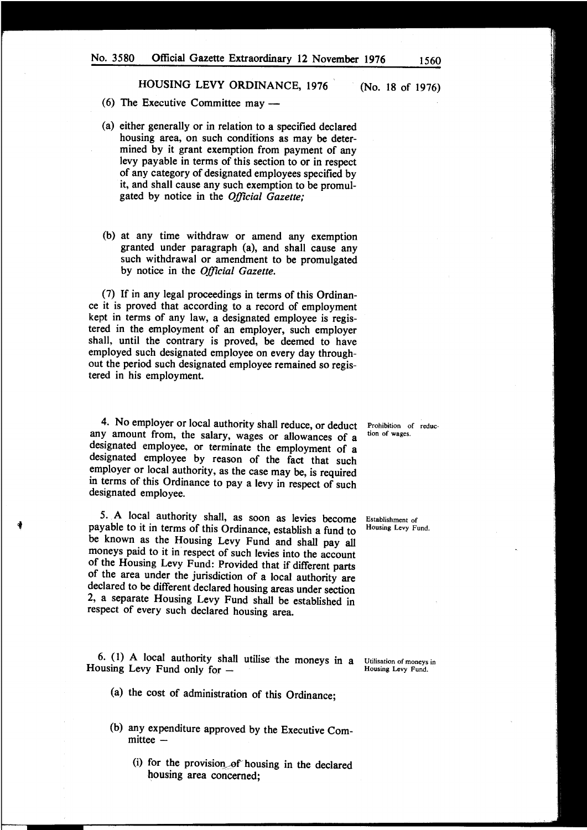(6) The Executive Committee may  $-$ 

- (a) either generally or in relation to a specified declared housing area, on such conditions as may be determined by it grant exemption from payment of any levy payable in terms of this section to or in respect of any category of designated employees specified by it, and shall cause any such exemption to be promulgated by notice in the *Official Gazette;*
- (b) at any time withdraw or amend any exemption granted under paragraph (a), and shall cause any such withdrawal or amendment to be promulgated by notice in the *Official Gazette.*

(7) If in any legal proceedings in terms of this Ordinance it is proved that according to a record of employment kept in terms of any law, a designated employee is registered in the employment of an employer, such employer shall, until the contrary is proved, be deemed to have employed such designated employee on every day throughout the period such designated employee remained so registered in his employment.

4. No employer or local authority shall reduce, or deduct any amount from, the salary, wages or allowances of a designated employee, or terminate the employment of a designated employee by reason of the fact that such employer or local authority, as the case may be, is required in terms of this Ordinance to pay a levy in respect of such designated employee.

5. A local authority shall, as soon as levies become Establishment of payable to it in terms of this Ordinance, establish a fund to Housing Levy Fund. be known as the Housing Levy Fund and shall pay all moneys paid to it in respect of such levies into the account of the Housing Levy Fund: Provided that if different parts of the area under the jurisdiction of a local authority are declared to be different declared housing areas under section 2, a separate Housing Levy Fund shall be established in respect of every such declared housing area.

i

6. (1) A local authority shall utilise the moneys in a Utilisation of moneys in Housing Levy Fund only for - Housing Levy Fund.

- (a) the cost of administration of this Ordinance;
- (b) any expenditure approved by the Executive Com $mitee -$ 
	- (i) for the provision of housing in the declared housing area concerned;

Prohibition of reduction of wages.

(No. 18 of 1976)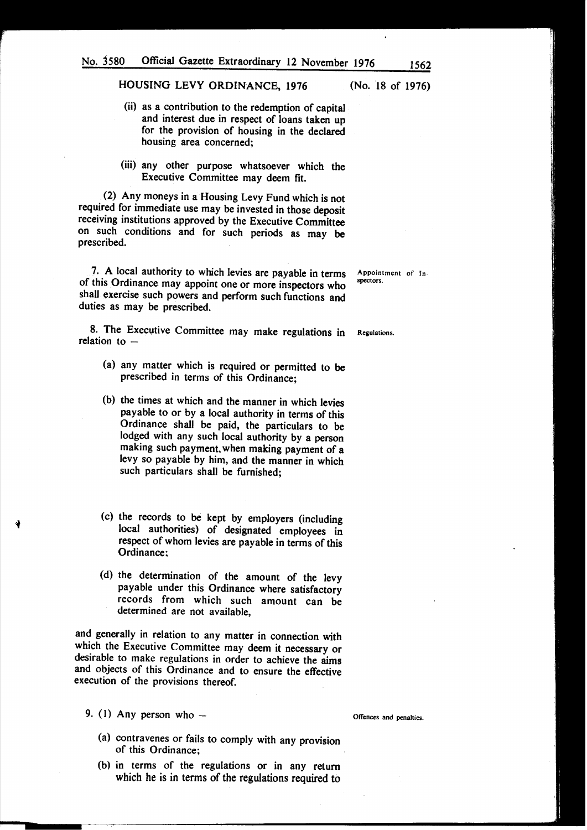- (ii) as a contribution to the redemption of capital and interest due in respect of loans taken up for the provision of housing in the declared housing area concerned;
- (iii) any other purpose whatsoever which the Executive Committee may deem fit.

(2) Any moneys in a Housing Levy Fund which is not required for immediate use may be invested in those deposit receiving institutions approved by the Executive Committee on such conditions and for such periods as may be prescribed.

7. A local authority to which levies are payable in terms of this Ordinance may appoint one or more inspectors who shall exercise such powers and perform such functions and duties as may be prescribed.

8. The Executive Committee may make regulations in relation to  $-$ 

- (a) any matter which is required or permitted to be prescribed in terms of this Ordinance;
- (b) the times at which and the manner in which levies payable to or by a local authority in terms of this Ordinance shall be paid, the particulars to be lodged with any such local authority by a person making such payment, when making payment of a levy so payable by him, and the manner in which such particulars shall be furnished;
- (c) the records to be kept by employers (including local authorities) of designated employees in respect of whom levies are payable in terms of this Ordinance:
- (d) the determination of the amount of the levy payable under this Ordinance where satisfactory records from which such amount can be determined are not available,

and generally in relation to any matter in connection with which the Executive Committee may deem it necessary or desirable to make regulations in order to achieve the aims and objects of this Ordinance and to ensure the effective execution of the provisions thereof.

- 9. (1) Any person who  $-$ 
	- (a) contravenes or fails to comply with any provision of this Ordinance;
	- (b) in terms of the regulations or in any return which he is in terms of the regulations required to

Appointment of Inspectors.

Regulations.

Offences and penalties.

(No. 18 of 1976)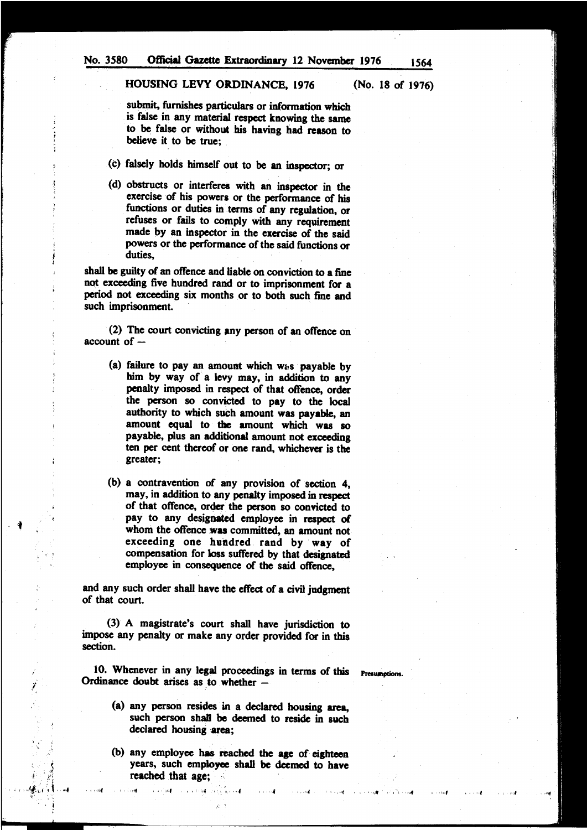#### HOUSING LEVY ORDINANCE, 1976 (No. 18 of 1976)

submit, furnishes particulars or information which is false in any material respect knowing the same to be false or without his having had reason to believe it to be true;

- (c) falsely holds himself out to be an inspector; or
- (d) obstructs or interferes with an inspector in the exercise of his powers or the performance of his functions or duties in terms of any regulation, or refuses or fails to comply with any requirement made by an inspector in the exercise of the said powers or the performance of the said functions or duties.

shall be guilty of an offence and liable on conviction to a fine not exceeding five hundred rand or to imprisonment for a period not exceeding six months or to both such fine and such imprisonment.

(2) The court convicting any person of an offence on  $account of -$ 

- (a) failure to pay an amount which was payable by him by way of a levy may, in addition to any penalty imposed in respect of that offence, order the person so convicted to pay to the local authority to which sueh amount was payable, an amount equal to the amount which was so payable, plus an additional amount not exceeding ten per cent thereof or one rand, whichever is the greater;
- (b) a contravention of any provision of section 4, may, in addition to any penalty imposed in respect of that offence, order the person so convicted to pay to any designated employee in respect of whom the offence was committed, an amount not exceeding one hundred rand by way of compensation for loss suffered by that designated employee in consequence of the said offence,

 $\ddot{\bullet}$  .

/

'l'

 $i\in \mathbb{Z}$ .*. Aj,:,* :;j. ,,f

••111(

and any such order shall have the effect of a civil judgment of that court.

(3) A magistrate's court shall have jurisdiction to impose any penalty or make any order provided for in this section.

10. Whenever in any legal proceedings in terms of this Presumptions. Ordinance doubt arises as to whether  $-$ 

 $\epsilon$  . The set of the set of  $\epsilon$  , is considered as  $\epsilon$  . The set of  $\epsilon$  is considered as  $\epsilon$  , if  $\epsilon$  is  $\epsilon$ 

- (a) any person resides in a declared housing area, such person shall be deemed to reside in such declared housing area;
- (b) any employee has reached the age of eighteen years, such employee shall be deemed to have reached that age;